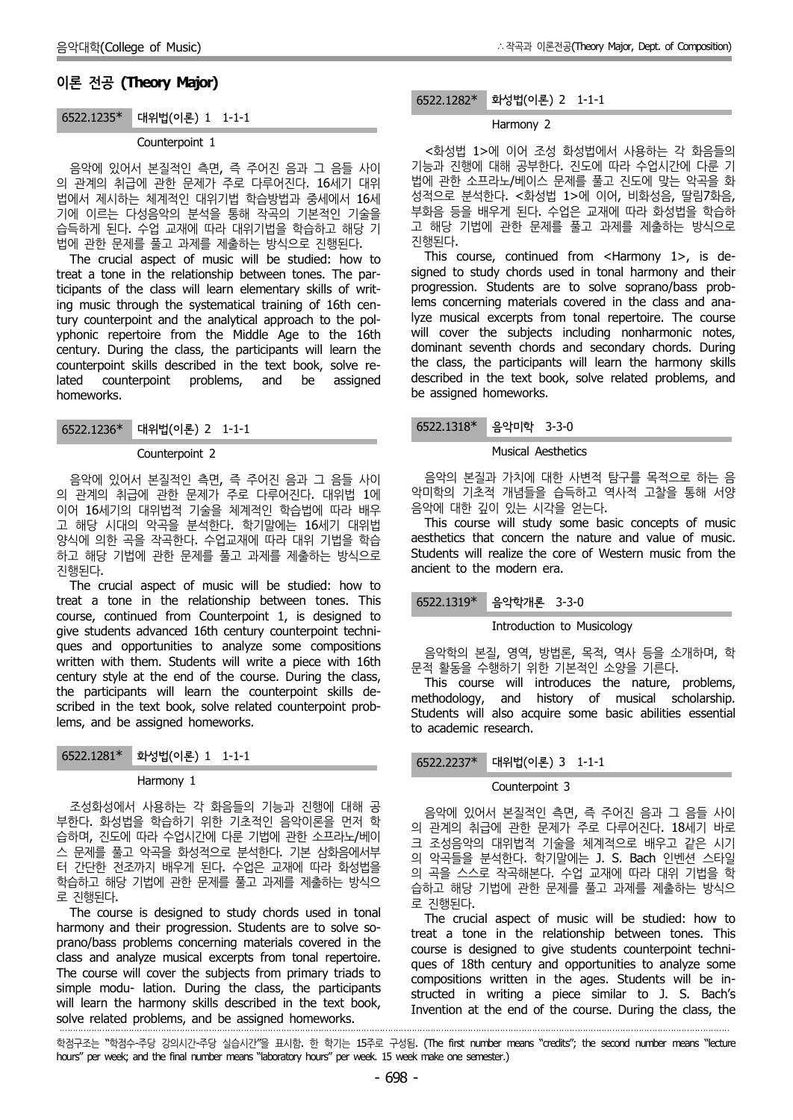# **이론 전공 (Theory Major)**

## 6522.1235\* 대위법(이론) 1 1-1-1

# Counterpoint 1

음악에 있어서 본질적인 측면, 즉 주어진 음과 그 음들 사이 의 관계의 취급에 관한 문제가 주로 다루어진다. 16세기 대위 법에서 제시하는 체계적인 대위기법 학습방법과 중세에서 16세 기에 이르는 다성음악의 분석을 통해 작곡의 기본적인 기술을 습득하게 된다. 수업 교재에 따라 대위기법을 학습하고 해당 기 법에 관한 문제를 풀고 과제를 제출하는 방식으로 진행된다.

The crucial aspect of music will be studied: how to treat a tone in the relationship between tones. The participants of the class will learn elementary skills of writing music through the systematical training of 16th century counterpoint and the analytical approach to the pol yphonic repertoire from the Middle Age to the 16th century. During the class, the participants will learn the counterpoint skills described in the text book, solve related counterpoint problems, and be assigned homeworks.

6522.1236\* 대위법(이론) 2 1-1-1

### Counterpoint 2

음악에 있어서 본질적인 측면, 즉 주어진 음과 그 음들 사이 의 관계의 취급에 관한 문제가 주로 다루어진다. 대위법 1에 이어 16세기의 대위법적 기술을 체계적인 학습법에 따라 배우 고 해당 시대의 악곡을 분석한다. 학기말에는 16세기 대위법 양식에 의한 곡을 작곡한다. 수업교재에 따라 대위 기법을 학습 하고 해당 기법에 관한 문제를 풀고 과제를 제출하는 방식으로 진행된다.

The crucial aspect of music will be studied: how to treat a tone in the relationship between tones. This course, continued from Counterpoint 1, is designed to give students advanced 16th century counterpoint techni ques and opportunities to analyze some compositions written with them. Students will write a piece with 16th century style at the end of the course. During the class, the participants will learn the counterpoint skills de scribed in the text book, solve related counterpoint problems, and be assigned homeworks.

| 6522.1281* 화성법(이론) 1 1-1-1 |  |
|----------------------------|--|
| Harmony 1                  |  |

·

조성화성에서 사용하는 각 화음들의 기능과 진행에 대해 공 부한다. 화성법을 학습하기 위한 기초적인 음악이론을 먼저 학 습하며, 진도에 따라 수업시간에 다룬 기법에 관한 소프라노/베이 스 문제를 풀고 악곡을 화성적으로 분석한다. 기본 삼화음에서부 터 간단한 전조까지 배우게 된다. 수업은 교재에 따라 화성법을 학습하고 해당 기법에 관한 문제를 풀고 과제를 제출하는 방식으 로 진행된다.

The course is designed to study chords used in tonal harmony and their progression. Students are to solve so prano/bass problems concerning materials covered in the class and analyze musical excerpts from tonal repertoire. The course will cover the subjects from primary triads to simple modu- lation. During the class, the participants will learn the harmony skills described in the text book, solve related problems, and be assigned homeworks.

### 6522.1282\* 화성법(이론) 2 1-1-1

### Harmony 2

<화성법 1>에 이어 조성 화성법에서 사용하는 각 화음들의 기능과 진행에 대해 공부한다. 진도에 따라 수업시간에 다룬 기 법에 관한 소프라노/베이스 문제를 풀고 진도에 맞는 악곡을 화 성적으로 분석한다. <화성법 1>에 이어, 비화성음, 딸림7화음, 부화음 등을 배우게 된다. 수업은 교재에 따라 화성법을 학습하 고 해당 기법에 관한 문제를 풀고 과제를 제출하는 방식으로 진행된다.

This course, continued from <Harmony 1>, is de signed to study chords used in tonal harmony and their progression. Students are to solve soprano/bass problems concerning materials covered in the class and analyze musical excerpts from tonal repertoire. The course will cover the subjects including nonharmonic notes, dominant seventh chords and secondary chords. During the class, the participants will learn the harmony skills described in the text book, solve related problems, and be assigned homeworks.

# 6522.1318\* 음악미학 3-3-0

### Musical Aesthetics

음악의 본질과 가치에 대한 사변적 탐구를 목적으로 하는 음 악미학의 기초적 개념들을 습득하고 역사적 고찰을 통해 서양 음악에 대한 깊이 있는 시각을 얻는다.

This course will study some basic concepts of music aesthetics that concern the nature and value of music. Students will realize the core of Western music from the ancient to the modern era.

6522.1319\* 음악학개론 3-3-0

### Introduction to Musicology

음악학의 본질, 영역, 방법론, 목적, 역사 등을 소개하며, 학 문적 활동을 수행하기 위한 기본적인 소양을 기른다.

This course will introduces the nature, problems, methodology, and history of musical scholarship. Students will also acquire some basic abilities essential to academic research.

# 6522.2237\* 대위법(이론) 3 1-1-1

#### Counterpoint 3

음악에 있어서 본질적인 측면, 즉 주어진 음과 그 음들 사이 의 관계의 취급에 관한 문제가 주로 다루어진다. 18세기 바로 크 조성음악의 대위법적 기술을 체계적으로 배우고 같은 시기 의 악곡들을 분석한다. 학기말에는 J. S. Bach 인벤션 스타일 의 곡을 스스로 작곡해본다. 수업 교재에 따라 대위 기법을 학 습하고 해당 기법에 관한 문제를 풀고 과제를 제출하는 방식으 로 진행된다.

The crucial aspect of music will be studied: how to treat a tone in the relationship between tones. This course is designed to give students counterpoint techni ques of 18th century and opportunities to analyze some compositions written in the ages. Students will be in structed in writing a piece similar to J. S. Bach's Invention at the end of the course. During the class, the

학점구조는 "학점수-주당 강의시간-주당 실습시간"을 표시함. 한 학기는 15주로 구성됨. (The first number means "credits"; the second number means "lecture hours" per week; and the final number means "laboratory hours" per week. 15 week make one semester.)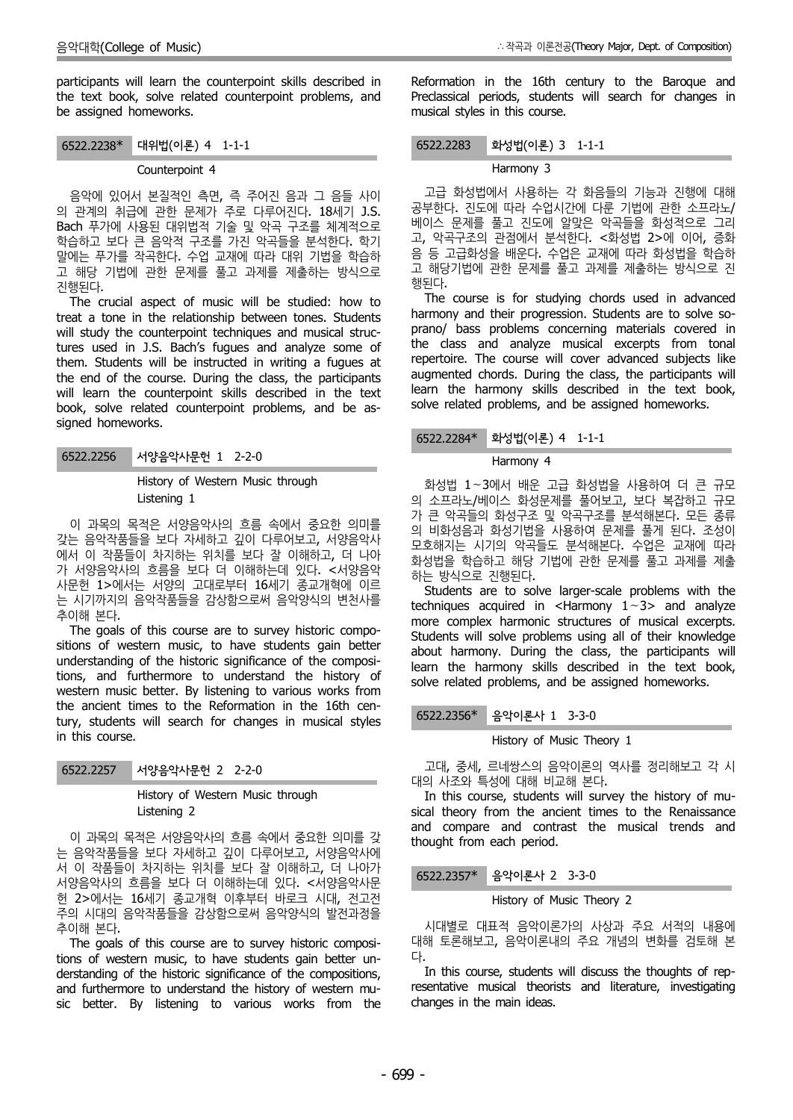participants will learn the counterpoint skills described in the text book, solve related counterpoint problems, and be assigned homeworks.

6522.2238\* 대위법(이론) 4 1-1-1

#### Counterpoint 4

음악에 있어서 본질적인 측면, 즉 주어진 음과 그 음들 사이 의 관계의 취급에 관한 문제가 주로 다루어진다. 18세기 J.S. Bach 푸가에 사용된 대위법적 기술 및 악곡 구조를 체계적으로 학습하고 보다 큰 음악적 구조를 가진 악곡들을 분석한다. 학기 말에는 푸가를 작곡한다. 수업 교재에 따라 대위 기법을 학습하 고 해당 기법에 관한 문제를 풀고 과제를 제출하는 방식으로 진행된다.

The crucial aspect of music will be studied: how to treat a tone in the relationship between tones. Students will study the counterpoint techniques and musical structures used in J.S. Bach's fugues and analyze some of them. Students will be instructed in writing a fugues at the end of the course. During the class, the participants will learn the counterpoint skills described in the text book, solve related counterpoint problems, and be as signed homeworks.

6522.2256 서양음악사문헌 1 2-2-0

History of Western Music through Listening 1

이 과목의 목적은 서양음악사의 흐름 속에서 중요한 의미를 갖는 음악작품들을 보다 자세하고 깊이 다루어보고, 서양음악사 에서 이 작품들이 차지하는 위치를 보다 잘 이해하고, 더 나아 가 서양음악사의 흐름을 보다 더 이해하는데 있다. <서양음악 사문헌 1>에서는 서양의 고대로부터 16세기 종교개혁에 이르 는 시기까지의 음악작품들을 감상함으로써 음악양식의 변천사를 추이해 본다.

The goals of this course are to survey historic compo sitions of western music, to have students gain better understanding of the historic significance of the compositions, and furthermore to understand the history of western music better. By listening to various works from the ancient times to the Reformation in the 16th century, students will search for changes in musical styles in this course.

# History of Western Music through Listening 2

이 과목의 목적은 서양음악사의 흐름 속에서 중요한 의미를 갖 는 음악작품들을 보다 자세하고 깊이 다루어보고, 서양음악사에 서 이 작품들이 차지하는 위치를 보다 잘 이해하고, 더 나아가 서양음악사의 흐름을 보다 더 이해하는데 있다. <서양음악사문 헌 2>에서는 16세기 종교개혁 이후부터 바로크 시대, 전고전 주의 시대의 음악작품들을 감상함으로써 음악양식의 발전과정을 추이해 본다.

The goals of this course are to survey historic compositions of western music, to have students gain better un derstanding of the historic significance of the compositions, and furthermore to understand the history of western mu sic better. By listening to various works from the

Reformation in the 16th century to the Baroque and Preclassical periods, students will search for changes in musical styles in this course.

# 6522.2283 화성법(이론) 3 1-1-1

#### Harmony 3

고급 화성법에서 사용하는 각 화음들의 기능과 진행에 대해 공부한다. 진도에 따라 수업시간에 다룬 기법에 관한 소프라노/ 베이스 문제를 풀고 진도에 알맞은 악곡들을 화성적으로 그리 고, 악곡구조의 관점에서 분석한다. <화성법 2>에 이어, 증화 음 등 고급화성을 배운다. 수업은 교재에 따라 화성법을 학습하 고 해당기법에 관한 문제를 풀고 과제를 제출하는 방식으로 진 행된다.

The course is for studying chords used in advanced harmony and their progression. Students are to solve so prano/ bass problems concerning materials covered in the class and analyze musical excerpts from tonal repertoire. The course will cover advanced subjects like augmented chords. During the class, the participants will learn the harmony skills described in the text book, solve related problems, and be assigned homeworks.

# 6522.2284\* 화성법(이론) 4 1-1-1

#### Harmony 4

화성법 1∼3에서 배운 고급 화성법을 사용하여 더 큰 규모 의 소프라노/베이스 화성문제를 풀어보고, 보다 복잡하고 규모 가 큰 악곡들의 화성구조 및 악곡구조를 분석해본다. 모든 종류 의 비화성음과 화성기법을 사용하여 문제를 풀게 된다. 조성이 모호해지는 시기의 악곡들도 분석해본다. 수업은 교재에 따라 화성법을 학습하고 해당 기법에 관한 문제를 풀고 과제를 제출 하는 방식으로 진행된다.

Students are to solve larger-scale problems with the techniques acquired in <Harmony 1∼3> and analyze more complex harmonic structures of musical excerpts. Students will solve problems using all of their knowledge about harmony. During the class, the participants will learn the harmony skills described in the text book, solve related problems, and be assigned homeworks.

6522.2356\* 음악이론사 1 3-3-0

# History of Music Theory 1

고대, 중세, 르네쌍스의 음악이론의 역사를 정리해보고 각 시 대의 사조와 특성에 대해 비교해 본다.

In this course, students will survey the history of mu sical theory from the ancient times to the Renaissance and compare and contrast the musical trends and thought from each period.

6522.2357\* 음악이론사 2 3-3-0

### History of Music Theory 2

시대별로 대표적 음악이론가의 사상과 주요 서적의 내용에 대해 토론해보고, 음악이론내의 주요 개념의 변화를 검토해 본

In this course, students will discuss the thoughts of representative musical theorists and literature, investigating changes in the main ideas.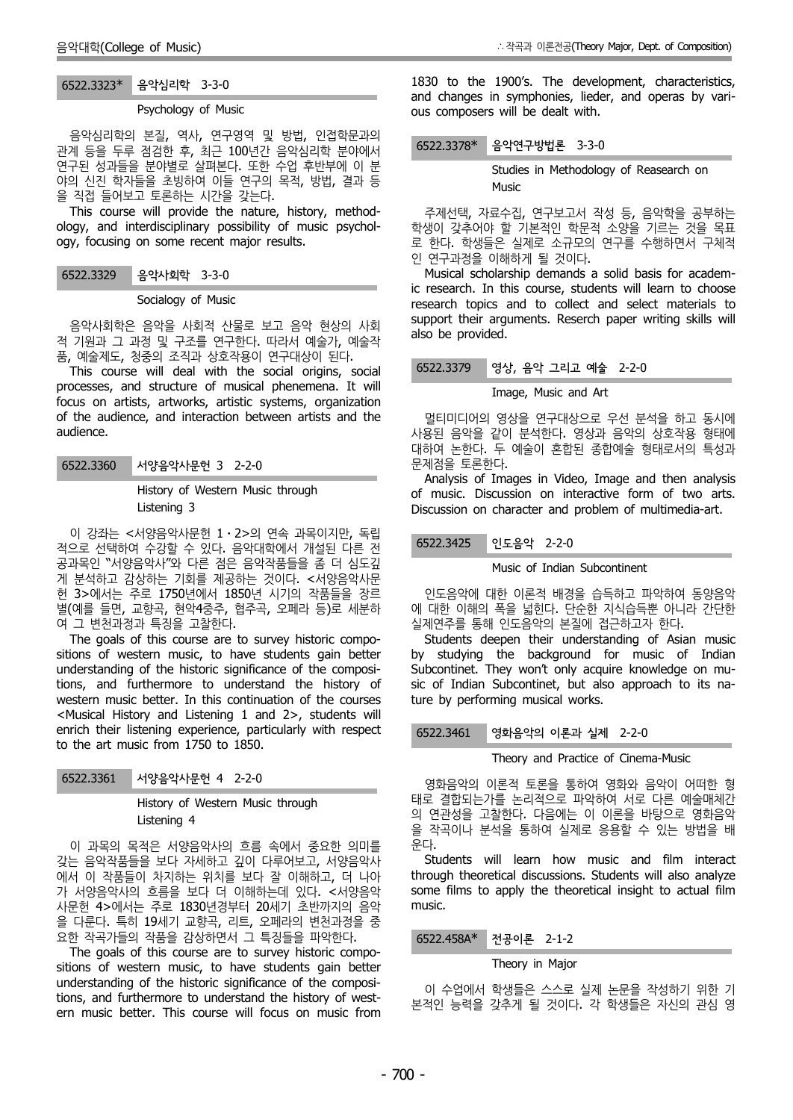# 6522.3323\* 음악심리학 3-3-0

#### Psychology of Music

음악심리학의 본질, 역사, 연구영역 및 방법, 인접학문과의 관계 등을 두루 점검한 후, 최근 100년간 음악심리학 분야에서 연구된 성과들을 분야별로 살펴본다. 또한 수업 후반부에 이 분 야의 신진 학자들을 초빙하여 이들 연구의 목적, 방법, 결과 등 을 직접 들어보고 토론하는 시간을 갖는다.

This course will provide the nature, history, method ology, and interdisciplinary possibility of music psychol ogy, focusing on some recent major results.

#### 6522.3329 음악사회학 3-3-0

#### Socialogy of Music

음악사회학은 음악을 사회적 산물로 보고 음악 현상의 사회 적 기원과 그 과정 및 구조를 연구한다. 따라서 예술가, 예술작 품, 예술제도, 청중의 조직과 상호작용이 연구대상이 된다.

This course will deal with the social origins, social processes, and structure of musical phenemena. It will focus on artists, artworks, artistic systems, organization of the audience, and interaction between artists and the audience.

History of Western Music through Listening 3

이 강좌는 <서양음악사문헌 1⋅2>의 연속 과목이지만, 독립 적으로 선택하여 수강할 수 있다. 음악대학에서 개설된 다른 전 공과목인 "서양음악사"와 다른 점은 음악작품들을 좀 더 심도깊 게 분석하고 감상하는 기회를 제공하는 것이다. <서양음악사문 헌 3>에서는 주로 1750년에서 1850년 시기의 작품들을 장르 별(예를 들면, 교향곡, 현악4중주, 협주곡, 오페라 등)로 세분하 여 그 변천과정과 특징을 고찰한다.

The goals of this course are to survey historic compo sitions of western music, to have students gain better understanding of the historic significance of the compositions, and furthermore to understand the history of western music better. In this continuation of the courses <Musical History and Listening 1 and 2>, students will enrich their listening experience, particularly with respect 6522.3461 to the art music from 1750 to 1850.

| 6522.3361 | 서양음악사문헌 4 2-2-0 |  |
|-----------|-----------------|--|
|-----------|-----------------|--|

History of Western Music through Listening 4

이 과목의 목적은 서양음악사의 흐름 속에서 중요한 의미를 갖는 음악작품들을 보다 자세하고 깊이 다루어보고, 서양음악사 에서 이 작품들이 차지하는 위치를 보다 잘 이해하고, 더 나아 가 서양음악사의 흐름을 보다 더 이해하는데 있다. <서양음악 사문헌 4>에서는 주로 1830년경부터 20세기 초반까지의 음악 을 다룬다. 특히 19세기 교향곡, 리트, 오페라의 변천과정을 중 요한 작곡가들의 작품을 감상하면서 그 특징들을 파악한다.

The goals of this course are to survey historic compo sitions of western music, to have students gain better understanding of the historic significance of the compositions, and furthermore to understand the history of west ern music better. This course will focus on music from 1830 to the 1900's. The development, characteristics, and changes in symphonies, lieder, and operas by vari ous composers will be dealt with.

6522.3378\* 음악연구방법론 3-3-0

Studies in Methodology of Reasearch on **Music** 

주제선택, 자료수집, 연구보고서 작성 등, 음악학을 공부하는 학생이 갖추어야 할 기본적인 학문적 소양을 기르는 것을 목표 로 한다. 학생들은 실제로 소규모의 연구를 수행하면서 구체적 인 연구과정을 이해하게 될 것이다.

Musical scholarship demands a solid basis for academic research. In this course, students will learn to choose research topics and to collect and select materials to support their arguments. Reserch paper writing skills will also be provided.

# 6522.3379 영상, 음악 그리고 예술 2-2-0

#### Image, Music and Art

멀티미디어의 영상을 연구대상으로 우선 분석을 하고 동시에 사용된 음악을 같이 분석한다. 영상과 음악의 상호작용 형태에 대하여 논한다. 두 예술이 혼합된 종합예술 형태로서의 특성과 문제점을 토론한다.

Analysis of Images in Video, Image and then analysis of music. Discussion on interactive form of two arts. Discussion on character and problem of multimedia-art.

인도음악 2-2-0

Music of Indian Subcontinent

인도음악에 대한 이론적 배경을 습득하고 파악하여 동양음악 에 대한 이해의 폭을 넓힌다. 단순한 지식습득뿐 아니라 간단한 실제연주를 통해 인도음악의 본질에 접근하고자 한다.

Students deepen their understanding of Asian music by studying the background for music of Indian Subcontinet. They won't only acquire knowledge on mu sic of Indian Subcontinet, but also approach to its nature by performing musical works.

영화음악의 이론과 실제 2-2-0

# Theory and Practice of Cinema-Music

영화음악의 이론적 토론을 통하여 영화와 음악이 어떠한 형 태로 결합되는가를 논리적으로 파악하여 서로 다른 예술매체간 의 연관성을 고찰한다. 다음에는 이 이론을 바탕으로 영화음악 을 작곡이나 분석을 통하여 실제로 응용할 수 있는 방법을 배 운다.

Students will learn how music and film interact through theoretical discussions. Students will also analyze some films to apply the theoretical insight to actual film music.

# 6522.458A\* 전공이론 2-1-2

# Theory in Major

이 수업에서 학생들은 스스로 실제 논문을 작성하기 위한 기 본적인 능력을 갖추게 될 것이다. 각 학생들은 자신의 관심 영